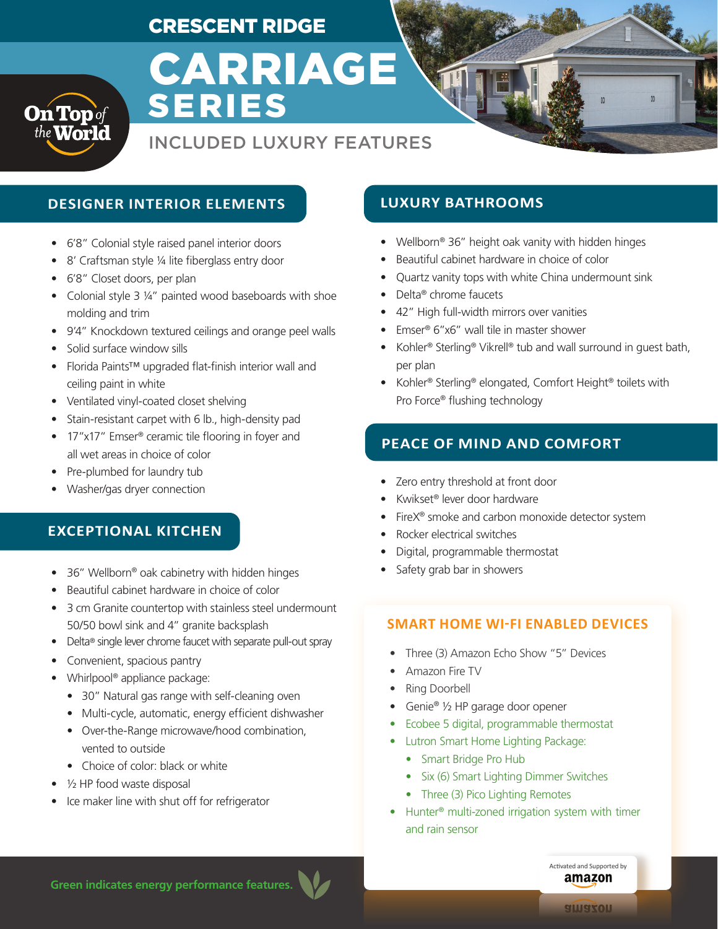# CRESCENT RIDGE

# CARRIAGE SERIES

# INCLUDED LUXURY FEATURES

### **DESIGNER INTERIOR ELEMENTS LUXURY BATHROOMS**

- 6'8" Colonial style raised panel interior doors
- 8' Craftsman style 1/4 lite fiberglass entry door
- 6'8" Closet doors, per plan

**On Top** of<br>the World

- Colonial style 3 ¼" painted wood baseboards with shoe molding and trim
- 9'4" Knockdown textured ceilings and orange peel walls
- Solid surface window sills
- Florida Paints™ upgraded flat-finish interior wall and ceiling paint in white
- Ventilated vinyl-coated closet shelving
- Stain-resistant carpet with 6 lb., high-density pad
- 17"x17" Emser<sup>®</sup> ceramic tile flooring in foyer and all wet areas in choice of color
- Pre-plumbed for laundry tub
- Washer/gas dryer connection

#### **EXCEPTIONAL KITCHEN**

- 36" Wellborn® oak cabinetry with hidden hinges
- Beautiful cabinet hardware in choice of color
- 3 cm Granite countertop with stainless steel undermount 50/50 bowl sink and 4" granite backsplash
- Delta® single lever chrome faucet with separate pull-out spray
- Convenient, spacious pantry
- Whirlpool<sup>®</sup> appliance package:
	- 30" Natural gas range with self-cleaning oven
	- Multi-cycle, automatic, energy efficient dishwasher
	- Over-the-Range microwave/hood combination, vented to outside
	- Choice of color: black or white
- $\bullet$   $\frac{1}{2}$  HP food waste disposal
- Ice maker line with shut off for refrigerator

- Wellborn® 36" height oak vanity with hidden hinges
- Beautiful cabinet hardware in choice of color
- Quartz vanity tops with white China undermount sink
- Delta® chrome faucets
- 42" High full-width mirrors over vanities
- Emser® 6"x6" wall tile in master shower
- Kohler® Sterling® Vikrell® tub and wall surround in guest bath, per plan
- Kohler® Sterling® elongated, Comfort Height® toilets with Pro Force® flushing technology

#### **PEACE OF MIND AND COMFORT**

- Zero entry threshold at front door
- Kwikset® lever door hardware
- FireX<sup>®</sup> smoke and carbon monoxide detector system
- Rocker electrical switches
- Digital, programmable thermostat
- Safety grab bar in showers

#### **SMART HOME WI-FI ENABLED DEVICES**

- Three (3) Amazon Echo Show "5" Devices
- Amazon Fire TV
- Ring Doorbell
- Genie® 1/2 HP garage door opener
- Ecobee 5 digital, programmable thermostat
- Lutron Smart Home Lighting Package:
	- Smart Bridge Pro Hub
	- Six (6) Smart Lighting Dimmer Switches
	- Three (3) Pico Lighting Remotes
- Hunter® multi-zoned irrigation system with timer and rain sensor

**Green indicates energy performance features.**

amazon nozeule

Activated and Supported by